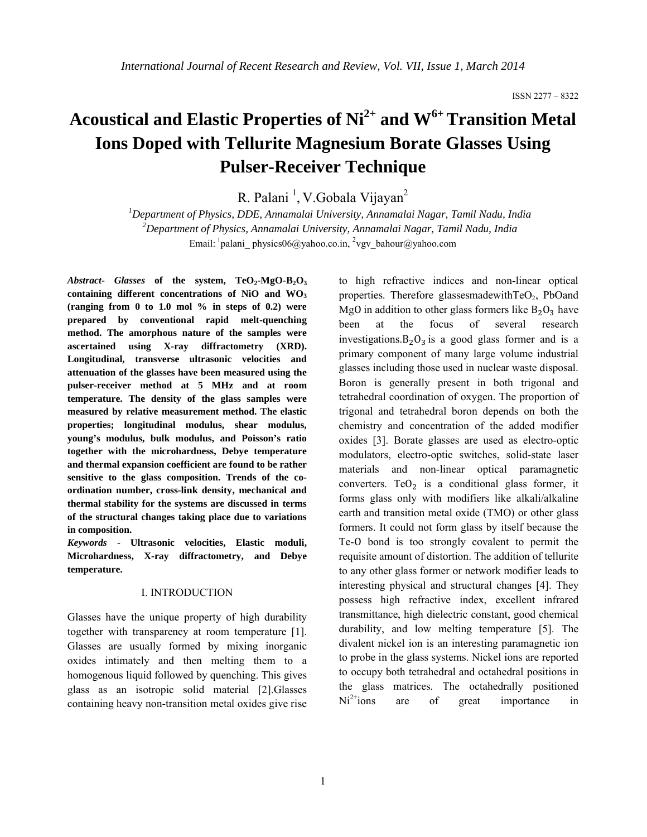# **Acoustical and Elastic Properties of Ni2+ and W6+ Transition Metal Ions Doped with Tellurite Magnesium Borate Glasses Using Pulser-Receiver Technique**

R. Palani<sup>1</sup>, V.Gobala Vijayan<sup>2</sup>

*1 Department of Physics, DDE, Annamalai University, Annamalai Nagar, Tamil Nadu, India 2 Department of Physics, Annamalai University, Annamalai Nagar, Tamil Nadu, India* Email: <sup>1</sup>palani physics06@yahoo.co.in, <sup>2</sup>vgv bahour@yahoo.com

Abstract- Glasses of the system,  $TeO_2$ -MgO-B<sub>2</sub>O<sub>3</sub> **containing different concentrations of NiO and WO3 (ranging from 0 to 1.0 mol % in steps of 0.2) were prepared by conventional rapid melt-quenching method. The amorphous nature of the samples were ascertained using X-ray diffractometry (XRD). Longitudinal, transverse ultrasonic velocities and attenuation of the glasses have been measured using the pulser-receiver method at 5 MHz and at room temperature. The density of the glass samples were measured by relative measurement method. The elastic properties; longitudinal modulus, shear modulus, young's modulus, bulk modulus, and Poisson's ratio together with the microhardness, Debye temperature and thermal expansion coefficient are found to be rather sensitive to the glass composition. Trends of the coordination number, cross-link density, mechanical and thermal stability for the systems are discussed in terms of the structural changes taking place due to variations in composition.** 

*Keywords -* **Ultrasonic velocities, Elastic moduli, Microhardness, X-ray diffractometry, and Debye temperature.**

# I. INTRODUCTION

Glasses have the unique property of high durability together with transparency at room temperature [1]. Glasses are usually formed by mixing inorganic oxides intimately and then melting them to a homogenous liquid followed by quenching. This gives glass as an isotropic solid material [2].Glasses containing heavy non-transition metal oxides give rise to high refractive indices and non-linear optical properties. Therefore glassesmadewith $TeO<sub>2</sub>$ , PbOand MgO in addition to other glass formers like  $B_2O_3$  have<br>been at the focus of several research several research investigations. $B_2O_3$  is a good glass former and is a primary component of many large volume industrial glasses including those used in nuclear waste disposal. Boron is generally present in both trigonal and tetrahedral coordination of oxygen. The proportion of trigonal and tetrahedral boron depends on both the chemistry and concentration of the added modifier oxides [3]. Borate glasses are used as electro-optic modulators, electro-optic switches, solid-state laser materials and non-linear optical paramagnetic converters. TeO<sub>2</sub> is a conditional glass former, it forms glass only with modifiers like alkali/alkaline earth and transition metal oxide (TMO) or other glass formers. It could not form glass by itself because the Te-O bond is too strongly covalent to permit the requisite amount of distortion. The addition of tellurite to any other glass former or network modifier leads to interesting physical and structural changes [4]. They possess high refractive index, excellent infrared transmittance, high dielectric constant, good chemical durability, and low melting temperature [5]. The divalent nickel ion is an interesting paramagnetic ion to probe in the glass systems. Nickel ions are reported to occupy both tetrahedral and octahedral positions in the glass matrices. The octahedrally positioned  $Ni<sup>2+</sup>ions$  are of great importance in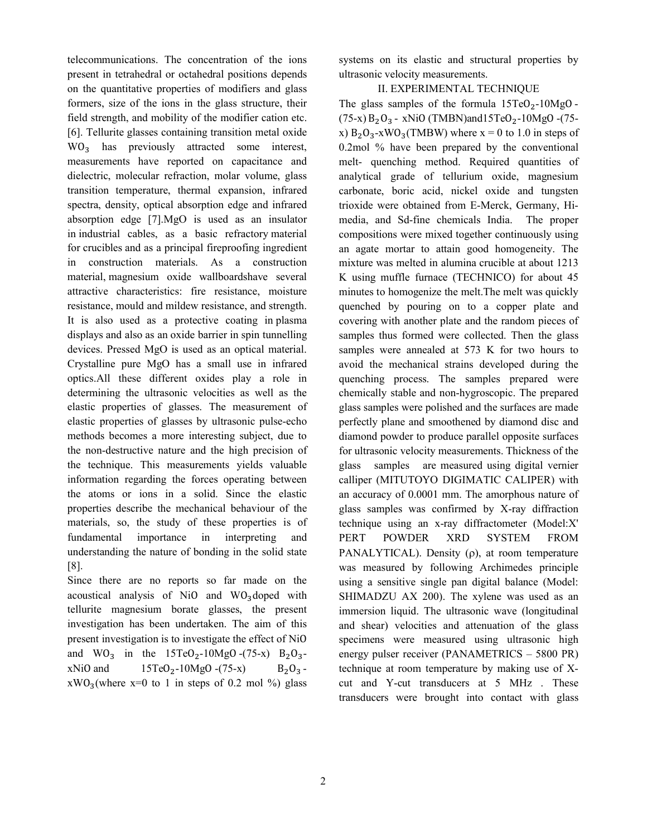telecommunications. The concentration of the ions present in tetrahedral or octahedral positions depends on the quantitative properties of modifiers and glass formers, size of the ions in the glass structure, their field strength, and mobility of the modifier cation etc. [6]. Tellurite glasses containing transition metal oxide WO<sub>3</sub> has previously attracted some interest, measurements have reported on capacitance and dielectric, molecular refraction, molar volume, glass transition temperature, thermal expansion, infrared spectra, density, optical absorption edge and infrared absorption edge [7].MgO is used as an insulator in industrial cables, as a basic refractory material for crucibles and as a principal fireproofing ingredient in construction materials. As a construction material, magnesium oxide wallboardshave several attractive characteristics: fire resistance, moisture resistance, mould and mildew resistance, and strength. It is also used as a protective coating in plasma displays and also as an oxide barrier in spin tunnelling devices. Pressed MgO is used as an optical material. Crystalline pure MgO has a small use in infrared optics.All these different oxides play a role in determining the ultrasonic velocities as well as the elastic properties of glasses. The measurement of elastic properties of glasses by ultrasonic pulse-echo methods becomes a more interesting subject, due to the non-destructive nature and the high precision of the technique. This measurements yields valuable information regarding the forces operating between the atoms or ions in a solid. Since the elastic properties describe the mechanical behaviour of the materials, so, the study of these properties is of fundamental importance in interpreting and understanding the nature of bonding in the solid state [8].

Since there are no reports so far made on the acoustical analysis of NiO and  $WO_3$ doped with tellurite magnesium borate glasses, the present investigation has been undertaken. The aim of this present investigation is to investigate the effect of NiO and  $WO_3$  in the 15TeO<sub>2</sub>-10MgO -(75-x) B<sub>2</sub>O<sub>3</sub>-<br>xNiO and 15TeO<sub>2</sub>-10MgO -(75-x) B<sub>2</sub>O<sub>3</sub>- $15TeO<sub>2</sub>-10MgO - (75-x)$  $xWO_3$ (where  $x=0$  to 1 in steps of 0.2 mol %) glass

systems on its elastic and structural properties by ultrasonic velocity measurements.

## II. EXPERIMENTAL TECHNIQUE

The glass samples of the formula  $15TeO<sub>2</sub>-10MgO$  - $(75-x) B_2O_3$  - xNiO (TMBN)and15TeO<sub>2</sub>-10MgO -(75x)  $B_2O_3$ -xWO<sub>3</sub>(TMBW) where  $x = 0$  to 1.0 in steps of 0.2mol % have been prepared by the conventional melt- quenching method. Required quantities of analytical grade of tellurium oxide, magnesium carbonate, boric acid, nickel oxide and tungsten trioxide were obtained from E-Merck, Germany, Himedia, and Sd-fine chemicals India. The proper compositions were mixed together continuously using an agate mortar to attain good homogeneity. The mixture was melted in alumina crucible at about 1213 K using muffle furnace (TECHNICO) for about 45 minutes to homogenize the melt.The melt was quickly quenched by pouring on to a copper plate and covering with another plate and the random pieces of samples thus formed were collected. Then the glass samples were annealed at 573 K for two hours to avoid the mechanical strains developed during the quenching process. The samples prepared were chemically stable and non-hygroscopic. The prepared glass samples were polished and the surfaces are made perfectly plane and smoothened by diamond disc and diamond powder to produce parallel opposite surfaces for ultrasonic velocity measurements. Thickness of the glass samples are measured using digital vernier calliper (MITUTOYO DIGIMATIC CALIPER) with an accuracy of 0.0001 mm. The amorphous nature of glass samples was confirmed by X-ray diffraction technique using an x-ray diffractometer (Model:X' PERT POWDER XRD SYSTEM FROM PANALYTICAL). Density  $(\rho)$ , at room temperature was measured by following Archimedes principle using a sensitive single pan digital balance (Model: SHIMADZU AX 200). The xylene was used as an immersion liquid. The ultrasonic wave (longitudinal and shear) velocities and attenuation of the glass specimens were measured using ultrasonic high energy pulser receiver (PANAMETRICS – 5800 PR) technique at room temperature by making use of Xcut and Y-cut transducers at 5 MHz . These transducers were brought into contact with glass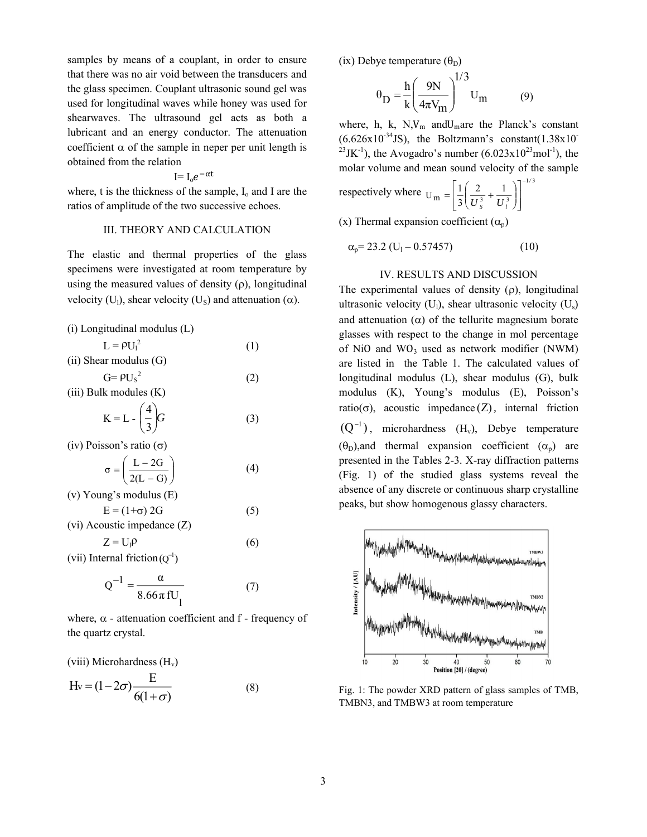samples by means of a couplant, in order to ensure that there was no air void between the transducers and the glass specimen. Couplant ultrasonic sound gel was used for longitudinal waves while honey was used for shearwaves. The ultrasound gel acts as both a lubricant and an energy conductor. The attenuation coefficient  $\alpha$  of the sample in neper per unit length is obtained from the relation

$$
I=I_{o}e^{-\alpha t}
$$

where, t is the thickness of the sample,  $I_0$  and I are the ratios of amplitude of the two successive echoes.

#### III. THEORY AND CALCULATION

The elastic and thermal properties of the glass specimens were investigated at room temperature by using the measured values of density  $(\rho)$ , longitudinal velocity (U<sub>1</sub>), shear velocity (U<sub>s</sub>) and attenuation ( $\alpha$ ).

(i) Longitudinal modulus (L)

| $L = \rho U_1^2$           | (1) |
|----------------------------|-----|
| $(ii)$ Shear modulus $(G)$ |     |
| $G = \rho U_s^2$           | (2) |

(iii) Bulk modules (K)

$$
K = L - \left(\frac{4}{3}\right)G\tag{3}
$$

(iv) Poisson's ratio  $(\sigma)$ 

$$
\sigma = \left(\frac{L - 2G}{2(L - G)}\right) \tag{4}
$$

(v) Young's modulus (E)  
\n
$$
E = (1+\sigma) 2G
$$
\n(5)

(vi) Acoustic impedance (Z)

 $Z = U_1 \rho$  $\rho$  (6)

(vii) Internal friction  $(Q^{-1})$ 

$$
Q^{-1} = \frac{\alpha}{8.66\pi fU_1}
$$
 (7)

where,  $\alpha$  - attenuation coefficient and f - frequency of the quartz crystal.

(viii) Microhardness 
$$
(H_v)
$$

$$
H_v = (1 - 2\sigma) \frac{E}{6(1 + \sigma)}
$$
 (8)

(ix) Debye temperature  $(\theta_D)$ 

$$
\theta_{\rm D} = \frac{h}{k} \left( \frac{9N}{4\pi V_{\rm m}} \right)^{1/3} U_{\rm m} \tag{9}
$$

where, h, k,  $N$ ,  $V_m$  and  $U_m$  are the Planck's constant  $(6.626x10^{-34}$ JS), the Boltzmann's constant $(1.38x10^{-14})$ <sup>23</sup>JK<sup>-1</sup>), the Avogadro's number (6.023x10<sup>23</sup>mol<sup>-1</sup>), the molar volume and mean sound velocity of the sample

respectively where 
$$
U_m = \left[ \frac{1}{3} \left( \frac{2}{U_s^3} + \frac{1}{U_l^3} \right) \right]^{-1/3}
$$

(x) Thermal expansion coefficient  $(\alpha_p)$ 

$$
\alpha_p = 23.2 \left( U_1 - 0.57457 \right) \tag{10}
$$

## IV. RESULTS AND DISCUSSION

The experimental values of density  $(\rho)$ , longitudinal ultrasonic velocity  $(U_1)$ , shear ultrasonic velocity  $(U_s)$ and attenuation  $(\alpha)$  of the tellurite magnesium borate glasses with respect to the change in mol percentage of  $NiO$  and  $WO_3$  used as network modifier (NWM) are listed in the Table 1. The calculated values of longitudinal modulus (L), shear modulus (G), bulk modulus (K), Young's modulus (E), Poisson's ratio( $\sigma$ ), acoustic impedance (Z), internal friction  $(Q^{-1})$ , microhardness  $(H_v)$ , Debye temperature  $(\theta_{\rm D})$ , and thermal expansion coefficient  $(\alpha_{\rm D})$  are presented in the Tables 2-3. X-ray diffraction patterns (Fig. 1) of the studied glass systems reveal the absence of any discrete or continuous sharp crystalline peaks, but show homogenous glassy characters.



Fig. 1: The powder XRD pattern of glass samples of TMB, TMBN3, and TMBW3 at room temperature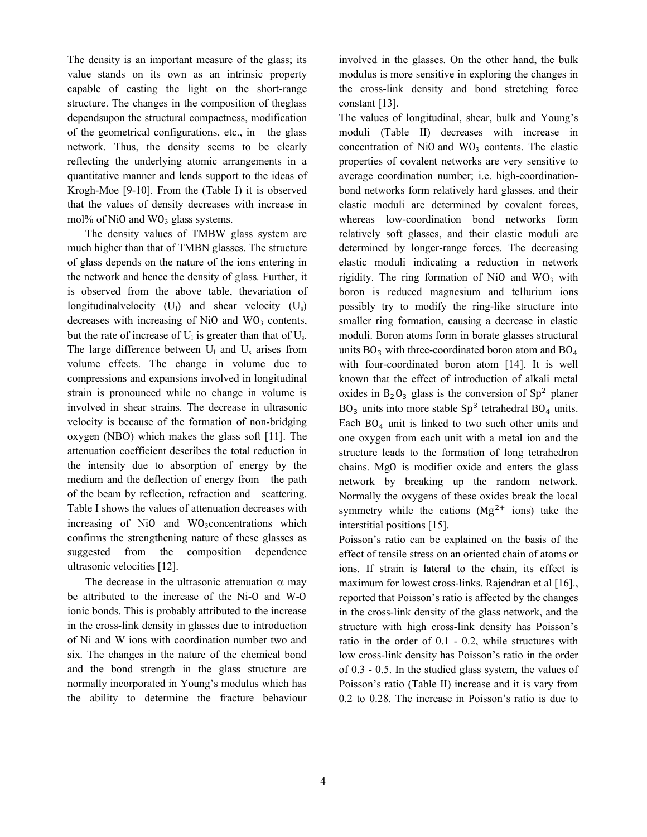The density is an important measure of the glass; its value stands on its own as an intrinsic property capable of casting the light on the short-range structure. The changes in the composition of theglass dependsupon the structural compactness, modification of the geometrical configurations, etc., in the glass network. Thus, the density seems to be clearly reflecting the underlying atomic arrangements in a quantitative manner and lends support to the ideas of Krogh-Moe [9-10]. From the (Table I) it is observed that the values of density decreases with increase in mol% of NiO and  $WO_3$  glass systems.

The density values of TMBW glass system are much higher than that of TMBN glasses. The structure of glass depends on the nature of the ions entering in the network and hence the density of glass. Further, it is observed from the above table, thevariation of longitudinalvelocity  $(U_1)$  and shear velocity  $(U_s)$ decreases with increasing of NiO and  $WO_3$  contents, but the rate of increase of  $U_1$  is greater than that of  $U_s$ . The large difference between  $U_1$  and  $U_s$  arises from volume effects. The change in volume due to compressions and expansions involved in longitudinal strain is pronounced while no change in volume is involved in shear strains. The decrease in ultrasonic velocity is because of the formation of non-bridging oxygen (NBO) which makes the glass soft [11]. The attenuation coefficient describes the total reduction in the intensity due to absorption of energy by the medium and the deflection of energy from the path of the beam by reflection, refraction and scattering. Table I shows the values of attenuation decreases with increasing of NiO and WO3concentrations which confirms the strengthening nature of these glasses as suggested from the composition dependence ultrasonic velocities [12].

The decrease in the ultrasonic attenuation  $\alpha$  may be attributed to the increase of the Ni-O and W-O ionic bonds. This is probably attributed to the increase in the cross-link density in glasses due to introduction of Ni and W ions with coordination number two and six. The changes in the nature of the chemical bond and the bond strength in the glass structure are normally incorporated in Young's modulus which has the ability to determine the fracture behaviour involved in the glasses. On the other hand, the bulk modulus is more sensitive in exploring the changes in the cross-link density and bond stretching force constant [13].

The values of longitudinal, shear, bulk and Young's moduli (Table II) decreases with increase in concentration of NiO and  $WO_3$  contents. The elastic properties of covalent networks are very sensitive to average coordination number; i.e. high-coordinationbond networks form relatively hard glasses, and their elastic moduli are determined by covalent forces, whereas low-coordination bond networks form relatively soft glasses, and their elastic moduli are determined by longer-range forces. The decreasing elastic moduli indicating a reduction in network rigidity. The ring formation of NiO and  $WO_3$  with boron is reduced magnesium and tellurium ions possibly try to modify the ring-like structure into smaller ring formation, causing a decrease in elastic moduli. Boron atoms form in borate glasses structural units  $BO_3$  with three-coordinated boron atom and  $BO_4$ with four-coordinated boron atom [14]. It is well known that the effect of introduction of alkali metal oxides in  $B_2O_3$  glass is the conversion of  $Sp^2$  planer  $BO<sub>3</sub>$  units into more stable  $Sp<sup>3</sup>$  tetrahedral  $BO<sub>4</sub>$  units. Each  $BO<sub>4</sub>$  unit is linked to two such other units and one oxygen from each unit with a metal ion and the structure leads to the formation of long tetrahedron chains. MgO is modifier oxide and enters the glass network by breaking up the random network. Normally the oxygens of these oxides break the local symmetry while the cations  $(Mg^{2+})$  ions) take the interstitial positions [15].

Poisson's ratio can be explained on the basis of the effect of tensile stress on an oriented chain of atoms or ions. If strain is lateral to the chain, its effect is maximum for lowest cross-links. Rajendran et al [16]. reported that Poisson's ratio is affected by the changes in the cross-link density of the glass network, and the structure with high cross-link density has Poisson's ratio in the order of 0.1 - 0.2, while structures with low cross-link density has Poisson's ratio in the order of 0.3 - 0.5. In the studied glass system, the values of Poisson's ratio (Table II) increase and it is vary from 0.2 to 0.28. The increase in Poisson's ratio is due to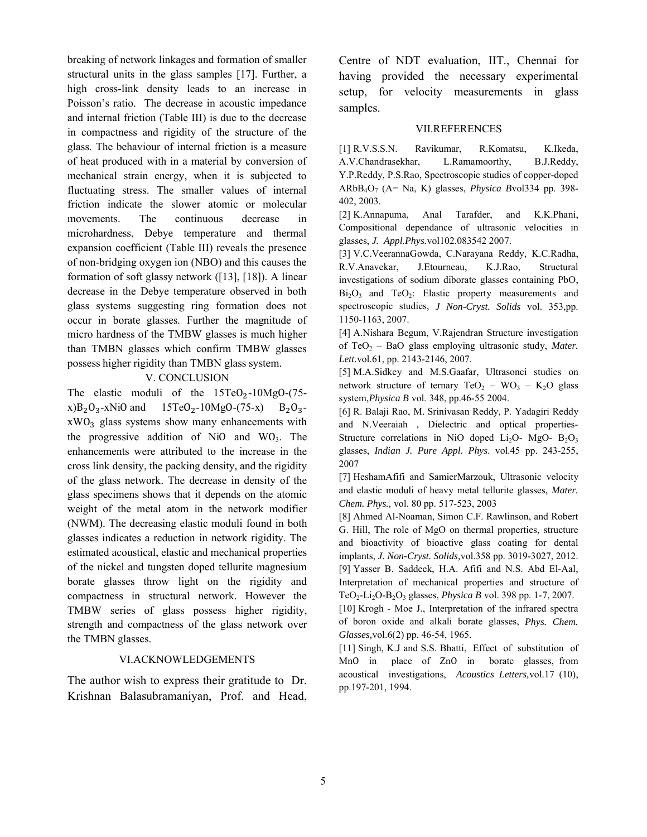breaking of network linkages and formation of smaller structural units in the glass samples [17]. Further, a high cross-link density leads to an increase in Poisson's ratio. The decrease in acoustic impedance and internal friction (Table III) is due to the decrease in compactness and rigidity of the structure of the glass. The behaviour of internal friction is a measure of heat produced with in a material by conversion of mechanical strain energy, when it is subjected to fluctuating stress. The smaller values of internal friction indicate the slower atomic or molecular movements. The continuous decrease in microhardness, Debye temperature and thermal expansion coefficient (Table III) reveals the presence of non-bridging oxygen ion (NBO) and this causes the formation of soft glassy network ([13], [18]). A linear decrease in the Debye temperature observed in both glass systems suggesting ring formation does not occur in borate glasses. Further the magnitude of micro hardness of the TMBW glasses is much higher than TMBN glasses which confirm TMBW glasses possess higher rigidity than TMBN glass system.

# V. CONCLUSION

The elastic moduli of the  $15TeO_2-10MgO-(75-x)B_2O_3$ -x)B<sub>2</sub>O<sub>3</sub>-xNiO and  $15TeO_2-10MgO-(75-x)B_2O_3-10MgO$  $x)B_2O_3$ -xNiO and 15TeO<sub>2</sub>-10MgO-(75-x)  $xWO<sub>3</sub>$  glass systems show many enhancements with the progressive addition of NiO and  $WO_3$ . The enhancements were attributed to the increase in the cross link density, the packing density, and the rigidity of the glass network. The decrease in density of the glass specimens shows that it depends on the atomic weight of the metal atom in the network modifier (NWM). The decreasing elastic moduli found in both glasses indicates a reduction in network rigidity. The estimated acoustical, elastic and mechanical properties of the nickel and tungsten doped tellurite magnesium borate glasses throw light on the rigidity and compactness in structural network. However the TMBW series of glass possess higher rigidity, strength and compactness of the glass network over the TMBN glasses.

## VI.ACKNOWLEDGEMENTS

The author wish to express their gratitude to Dr. Krishnan Balasubramaniyan, Prof. and Head, Centre of NDT evaluation, IIT., Chennai for having provided the necessary experimental setup, for velocity measurements in glass samples.

#### VII.REFERENCES

[1] R.V.S.S.N. Ravikumar, R.Komatsu, K.Ikeda, A.V.Chandrasekhar, L.Ramamoorthy, B.J.Reddy, Y.P.Reddy, P.S.Rao, Spectroscopic studies of copper-doped ARbB4O7 (A= Na, K) glasses, *Physica B*vol334 pp. 398- 402, 2003.

[2] K.Annapuma, Anal Tarafder, and K.K.Phani, Compositional dependance of ultrasonic velocities in glasses, *J. Appl.Phys.*vol102.083542 2007.

[3] V.C.VeerannaGowda, C.Narayana Reddy, K.C.Radha, R.V.Anavekar, J.Etourneau, K.J.Rao, Structural investigations of sodium diborate glasses containing PbO,  $Bi<sub>2</sub>O<sub>3</sub>$  and TeO<sub>2</sub>: Elastic property measurements and spectroscopic studies, *J Non-Cryst. Solids* vol. 353,pp. 1150-1163, 2007.

[4] A.Nishara Begum, V.Rajendran Structure investigation of TeO<sub>2</sub> – BaO glass employing ultrasonic study, *Mater. Lett.*vol.61, pp. 2143-2146, 2007.

[5] M.A.Sidkey and M.S.Gaafar, Ultrasonci studies on network structure of ternary  $TeO_2 - WO_3 - K_2O$  glass system,*Physica B* vol. 348, pp.46-55 2004.

[6] R. Balaji Rao, M. Srinivasan Reddy, P. Yadagiri Reddy and N.Veeraiah , Dielectric and optical properties-Structure correlations in NiO doped Li<sub>2</sub>O- MgO- B<sub>2</sub>O<sub>3</sub> glasses, *Indian J. Pure Appl. Phys*. vol.45 pp. 243-255, 2007

[7] HeshamAfifi and SamierMarzouk, Ultrasonic velocity and elastic moduli of heavy metal tellurite glasses, *Mater. Chem. Phys.,* vol. 80 pp. 517-523, 2003

[8] Ahmed Al-Noaman, Simon C.F. Rawlinson, and Robert G. Hill, The role of MgO on thermal properties, structure and bioactivity of bioactive glass coating for dental implants, *J. Non-Cryst. Solids,*vol.358 pp. 3019-3027, 2012. [9] Yasser B. Saddeek, H.A. Afifi and N.S. Abd El-Aal, Interpretation of mechanical properties and structure of TeO2-Li2O-B2O3 glasses, *Physica B* vol. 398 pp. 1-7, 2007.

[10] Krogh - Moe J., Interpretation of the infrared spectra of boron oxide and alkali borate glasses, *Phys. Chem. Glasses,*vol.6(2) pp. 46-54, 1965.

[11] Singh, K.J and S.S. Bhatti, Effect of substitution of MnO in place of ZnO in borate glasses, from acoustical investigations, *Acoustics Letters,*vol.17 (10), pp.197-201, 1994.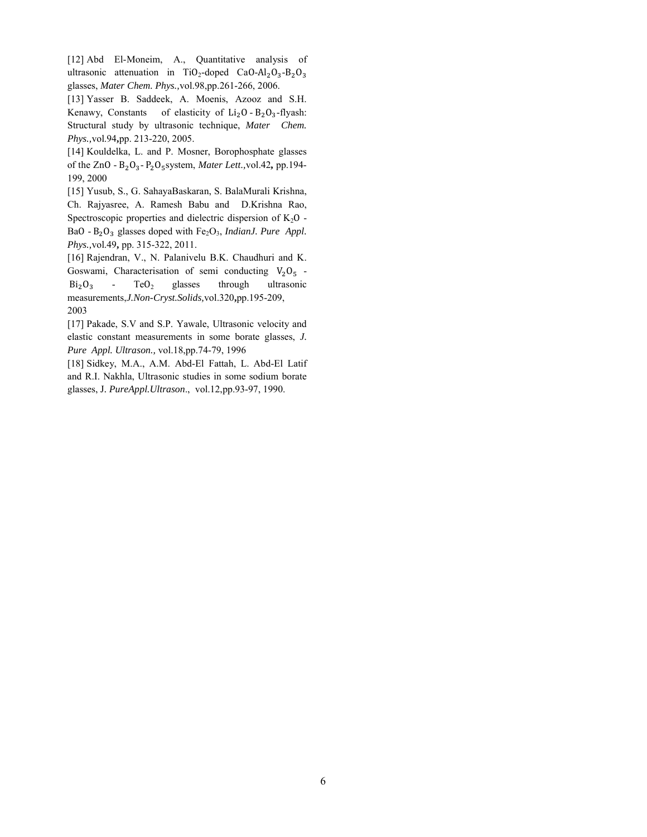[12] Abd El-Moneim, A., Quantitative analysis of ultrasonic attenuation in TiO<sub>2</sub>-doped CaO-Al<sub>2</sub>O<sub>3</sub>-B<sub>2</sub>O<sub>3</sub> glasses, *Mater Chem. Phys.,*vol.98,pp.261-266, 2006.

[13] Yasser B. Saddeek, A. Moenis, Azooz and S.H. Kenawy, Constants of elasticity of  $Li_2O - B_2O_3$ -flyash: Structural study by ultrasonic technique, *Mater Chem. Phys.,*vol.94**,**pp. 213-220, 2005.

[14] Kouldelka, L. and P. Mosner, Borophosphate glasses of the ZnO - B2O3- P2O5system, *Mater Lett.,*vol.42**,** pp.194- 199, 2000

[15] Yusub, S., G. SahayaBaskaran, S. BalaMurali Krishna, Ch. Rajyasree, A. Ramesh Babu and D.Krishna Rao, Spectroscopic properties and dielectric dispersion of  $K_2O$  -BaO - B<sub>2</sub>O<sub>3</sub> glasses doped with Fe<sub>2</sub>O<sub>3</sub>, *IndianJ. Pure Appl. Phys.,*vol.49**,** pp. 315-322, 2011.

[16] Rajendran, V., N. Palanivelu B.K. Chaudhuri and K. Goswami, Characterisation of semi conducting  $V_2O_5$  -<br>Bi<sub>2</sub>O<sub>3</sub> - TeO<sub>2</sub> glasses through ultrasonic ultrasonic measurements,*J.Non-Cryst.Solids,*vol.320**,**pp.195-209, 2003

[17] Pakade, S.V and S.P. Yawale, Ultrasonic velocity and elastic constant measurements in some borate glasses, *J. Pure Appl. Ultrason.,* vol.18,pp.74-79, 1996

[18] Sidkey, M.A., A.M. Abd-El Fattah, L. Abd-El Latif and R.I. Nakhla, Ultrasonic studies in some sodium borate glasses, J*. PureAppl.Ultrason*., vol.12,pp.93-97, 1990.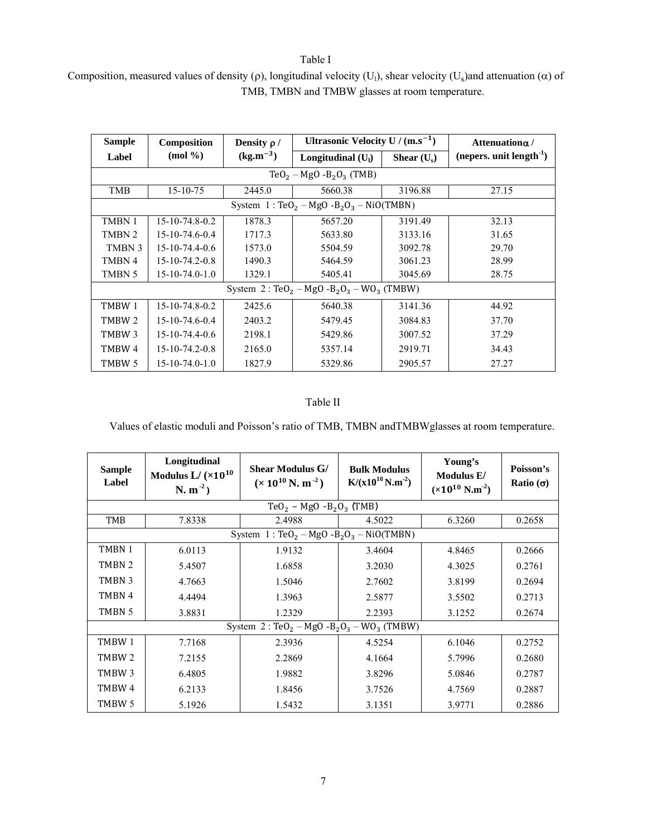Table I

Composition, measured values of density (p), longitudinal velocity (U<sub>1</sub>), shear velocity (U<sub>s</sub>)and attenuation ( $\alpha$ ) of TMB, TMBN and TMBW glasses at room temperature.

| <b>Sample</b>                                                                   | Composition                  | Density $\rho$ / | Ultrasonic Velocity U / $(m.s^{-1})$ |               | Attenuationa/                  |  |
|---------------------------------------------------------------------------------|------------------------------|------------------|--------------------------------------|---------------|--------------------------------|--|
| Label                                                                           | $(mod \%$ )                  | $(kg.m^{-3})$    | Longitudinal $(U1)$                  | Shear $(U_s)$ | (nepers. unit length $^{-1}$ ) |  |
|                                                                                 | $TeO_2 - MgO - B_2O_3$ (TMB) |                  |                                      |               |                                |  |
| <b>TMB</b>                                                                      | $15 - 10 - 75$               | 2445.0           | 5660.38                              | 3196.88       | 27.15                          |  |
| System $1: \text{TeO}_2 - \text{MgO} - B_2\text{O}_3 - \text{NiO}(\text{TMBN})$ |                              |                  |                                      |               |                                |  |
| TMBN 1                                                                          | 15-10-74.8-0.2               | 1878.3           | 5657.20                              | 3191.49       | 32.13                          |  |
| TMBN 2                                                                          | $15 - 10 - 74.6 - 0.4$       | 1717.3           | 5633.80                              | 3133.16       | 31.65                          |  |
| TMBN 3                                                                          | $15 - 10 - 74.4 - 0.6$       | 1573.0           | 5504.59                              | 3092.78       | 29.70                          |  |
| TMBN 4                                                                          | 15-10-74.2-0.8               | 1490.3           | 5464.59                              | 3061.23       | 28.99                          |  |
| TMBN 5                                                                          | $15 - 10 - 74.0 - 1.0$       | 1329.1           | 5405.41                              | 3045.69       | 28.75                          |  |
| System $2: TeO_2 - MgO - B_2O_3 - WO_3$ (TMBW)                                  |                              |                  |                                      |               |                                |  |
| TMBW 1                                                                          | 15-10-74.8-0.2               | 2425.6           | 5640.38                              | 3141.36       | 44.92                          |  |
| TMBW 2                                                                          | $15 - 10 - 74.6 - 0.4$       | 2403.2           | 5479.45                              | 3084.83       | 37.70                          |  |
| TMBW 3                                                                          | $15 - 10 - 74.4 - 0.6$       | 2198.1           | 5429.86                              | 3007.52       | 37.29                          |  |
| TMBW 4                                                                          | $15 - 10 - 74.2 - 0.8$       | 2165.0           | 5357.14                              | 2919.71       | 34.43                          |  |
| TMBW 5                                                                          | $15 - 10 - 74.0 - 1.0$       | 1827.9           | 5329.86                              | 2905.57       | 27.27                          |  |

# Table II

Values of elastic moduli and Poisson's ratio of TMB, TMBN andTMBWglasses at room temperature.

| <b>Sample</b><br>Label                         | Longitudinal<br>Modulus $L / (x10^{10}$<br>$N. m^{-2}$ )                        | <b>Shear Modulus G/</b><br>$(x 10^{10} \text{ N} \cdot \text{m}^{-2})$ | <b>Bulk Modulus</b><br>$K/(x10^{10} N.m^{-2})$ | Young's<br>Modulus E/<br>$(x10^{10} N.m^{-2})$ | Poisson's<br>Ratio $(\sigma)$ |  |
|------------------------------------------------|---------------------------------------------------------------------------------|------------------------------------------------------------------------|------------------------------------------------|------------------------------------------------|-------------------------------|--|
| $TeO2 - MgO - B2O3$ (TMB)                      |                                                                                 |                                                                        |                                                |                                                |                               |  |
| <b>TMB</b>                                     | 7.8338                                                                          | 2.4988                                                                 | 4.5022                                         | 6.3260                                         | 0.2658                        |  |
|                                                | System $1: \text{TeO}_2 - \text{MgO} - B_2\text{O}_3 - \text{NiO}(\text{TMBN})$ |                                                                        |                                                |                                                |                               |  |
| TMBN 1                                         | 6.0113                                                                          | 1.9132                                                                 | 3.4604                                         | 4.8465                                         | 0.2666                        |  |
| TMBN 2                                         | 5.4507                                                                          | 1.6858                                                                 | 3.2030                                         | 4.3025                                         | 0.2761                        |  |
| TMBN 3                                         | 4.7663                                                                          | 1.5046                                                                 | 2.7602                                         | 3.8199                                         | 0.2694                        |  |
| TMBN 4                                         | 4.4494                                                                          | 1.3963                                                                 | 2.5877                                         | 3.5502                                         | 0.2713                        |  |
| TMBN 5                                         | 3.8831                                                                          | 1.2329                                                                 | 2.2393                                         | 3.1252                                         | 0.2674                        |  |
| System $2: TeO_2 - MgO - B_2O_3 - WO_3$ (TMBW) |                                                                                 |                                                                        |                                                |                                                |                               |  |
| TMBW 1                                         | 7.7168                                                                          | 2.3936                                                                 | 4.5254                                         | 6.1046                                         | 0.2752                        |  |
| TMBW 2                                         | 7.2155                                                                          | 2.2869                                                                 | 4.1664                                         | 5.7996                                         | 0.2680                        |  |
| TMBW 3                                         | 6.4805                                                                          | 1.9882                                                                 | 3.8296                                         | 5.0846                                         | 0.2787                        |  |
| TMBW 4                                         | 6.2133                                                                          | 1.8456                                                                 | 3.7526                                         | 4.7569                                         | 0.2887                        |  |
| TMBW 5                                         | 5.1926                                                                          | 1.5432                                                                 | 3.1351                                         | 3.9771                                         | 0.2886                        |  |